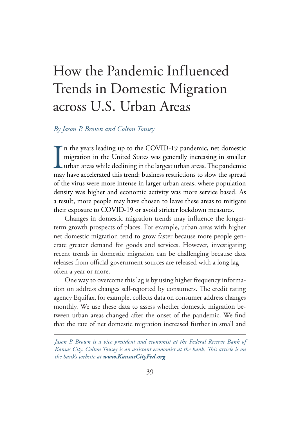# How the Pandemic Influenced Trends in Domestic Migration across U.S. Urban Areas

#### *By Jason P. Brown and Colton Tousey*

 $\prod_{\text{max}}$ n the years leading up to the COVID-19 pandemic, net domestic migration in the United States was generally increasing in smaller urban areas while declining in the largest urban areas. The pandemic may have accelerated this trend: business restrictions to slow the spread of the virus were more intense in larger urban areas, where population density was higher and economic activity was more service based. As a result, more people may have chosen to leave these areas to mitigate their exposure to COVID-19 or avoid stricter lockdown measures.

Changes in domestic migration trends may influence the longerterm growth prospects of places. For example, urban areas with higher net domestic migration tend to grow faster because more people generate greater demand for goods and services. However, investigating recent trends in domestic migration can be challenging because data releases from official government sources are released with a long lag often a year or more.

One way to overcome this lag is by using higher frequency information on address changes self-reported by consumers. The credit rating agency Equifax, for example, collects data on consumer address changes monthly. We use these data to assess whether domestic migration between urban areas changed after the onset of the pandemic. We find that the rate of net domestic migration increased further in small and

*Jason P. Brown is a vice president and economist at the Federal Reserve Bank of Kansas City. Colton Tousey is an assistant economist at the bank. This article is on the bank's website at www.KansasCityFed.org*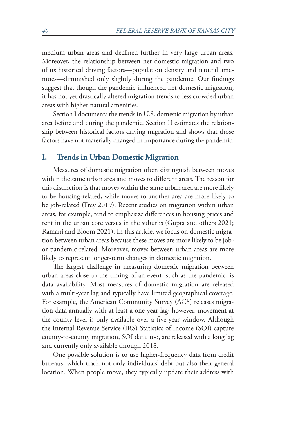medium urban areas and declined further in very large urban areas. Moreover, the relationship between net domestic migration and two of its historical driving factors—population density and natural amenities—diminished only slightly during the pandemic. Our findings suggest that though the pandemic influenced net domestic migration, it has not yet drastically altered migration trends to less crowded urban areas with higher natural amenities.

Section I documents the trends in U.S. domestic migration by urban area before and during the pandemic. Section II estimates the relationship between historical factors driving migration and shows that those factors have not materially changed in importance during the pandemic.

#### **I. Trends in Urban Domestic Migration**

Measures of domestic migration often distinguish between moves within the same urban area and moves to different areas. The reason for this distinction is that moves within the same urban area are more likely to be housing-related, while moves to another area are more likely to be job-related (Frey 2019). Recent studies on migration within urban areas, for example, tend to emphasize differences in housing prices and rent in the urban core versus in the suburbs (Gupta and others 2021; Ramani and Bloom 2021). In this article, we focus on domestic migration between urban areas because these moves are more likely to be jobor pandemic-related. Moreover, moves between urban areas are more likely to represent longer-term changes in domestic migration.

The largest challenge in measuring domestic migration between urban areas close to the timing of an event, such as the pandemic, is data availability. Most measures of domestic migration are released with a multi-year lag and typically have limited geographical coverage. For example, the American Community Survey (ACS) releases migration data annually with at least a one-year lag; however, movement at the county level is only available over a five-year window. Although the Internal Revenue Service (IRS) Statistics of Income (SOI) capture county-to-county migration, SOI data, too, are released with a long lag and currently only available through 2018.

One possible solution is to use higher-frequency data from credit bureaus, which track not only individuals' debt but also their general location. When people move, they typically update their address with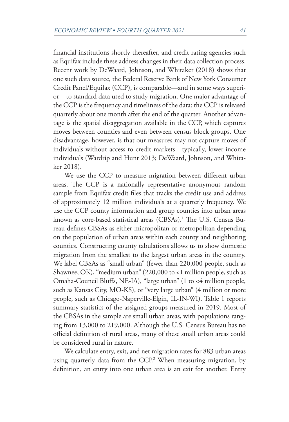financial institutions shortly thereafter, and credit rating agencies such as Equifax include these address changes in their data collection process. Recent work by DeWaard, Johnson, and Whitaker (2018) shows that one such data source, the Federal Reserve Bank of New York Consumer Credit Panel/Equifax (CCP), is comparable—and in some ways superior—to standard data used to study migration. One major advantage of the CCP is the frequency and timeliness of the data: the CCP is released quarterly about one month after the end of the quarter. Another advantage is the spatial disaggregation available in the CCP, which captures moves between counties and even between census block groups. One disadvantage, however, is that our measures may not capture moves of individuals without access to credit markets—typically, lower-income individuals (Wardrip and Hunt 2013; DeWaard, Johnson, and Whitaker 2018).

We use the CCP to measure migration between different urban areas. The CCP is a nationally representative anonymous random sample from Equifax credit files that tracks the credit use and address of approximately 12 million individuals at a quarterly frequency. We use the CCP county information and group counties into urban areas known as core-based statistical areas (CBSAs).1 The U.S. Census Bureau defines CBSAs as either micropolitan or metropolitan depending on the population of urban areas within each county and neighboring counties. Constructing county tabulations allows us to show domestic migration from the smallest to the largest urban areas in the country. We label CBSAs as "small urban" (fewer than 220,000 people, such as Shawnee, OK), "medium urban" (220,000 to <1 million people, such as Omaha-Council Bluffs, NE-IA), "large urban" (1 to <4 million people, such as Kansas City, MO-KS), or "very large urban" (4 million or more people, such as Chicago-Naperville-Elgin, IL-IN-WI). Table 1 reports summary statistics of the assigned groups measured in 2019. Most of the CBSAs in the sample are small urban areas, with populations ranging from 13,000 to 219,000. Although the U.S. Census Bureau has no official definition of rural areas, many of these small urban areas could be considered rural in nature.

We calculate entry, exit, and net migration rates for 883 urban areas using quarterly data from the CCP.2 When measuring migration, by definition, an entry into one urban area is an exit for another. Entry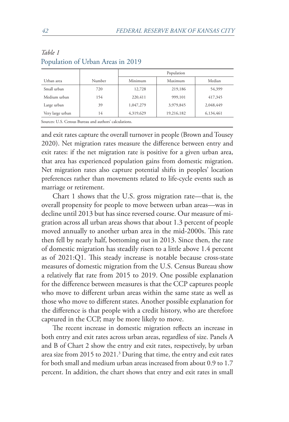|                                                          |        | Population |            |           |  |
|----------------------------------------------------------|--------|------------|------------|-----------|--|
| Urban area                                               | Number | Minimum    | Maximum    | Median    |  |
| Small urban                                              | 720    | 12,728     | 219,186    | 54,399    |  |
| Medium urban                                             | 154    | 220,411    | 999,101    | 417,345   |  |
| Large urban                                              | 39     | 1,047,279  | 3,979,845  | 2,048,449 |  |
| Very large urban                                         | 14     | 4,319,629  | 19,216,182 | 6,134,461 |  |
| $c = mc \cdot c = p = 1 \cdot 1 \cdot 1 \cdot 1 \cdot 1$ |        |            |            |           |  |

#### *Table 1* Population of Urban Areas in 2019

Sources: U.S. Census Bureau and authors' calculations.

and exit rates capture the overall turnover in people (Brown and Tousey 2020). Net migration rates measure the difference between entry and exit rates: if the net migration rate is positive for a given urban area, that area has experienced population gains from domestic migration. Net migration rates also capture potential shifts in peoples' location preferences rather than movements related to life-cycle events such as marriage or retirement.

Chart 1 shows that the U.S. gross migration rate—that is, the overall propensity for people to move between urban areas—was in decline until 2013 but has since reversed course. Our measure of migration across all urban areas shows that about 1.3 percent of people moved annually to another urban area in the mid-2000s. This rate then fell by nearly half, bottoming out in 2013. Since then, the rate of domestic migration has steadily risen to a little above 1.4 percent as of 2021:Q1. This steady increase is notable because cross-state measures of domestic migration from the U.S. Census Bureau show a relatively flat rate from 2015 to 2019. One possible explanation for the difference between measures is that the CCP captures people who move to different urban areas within the same state as well as those who move to different states. Another possible explanation for the difference is that people with a credit history, who are therefore captured in the CCP, may be more likely to move.

The recent increase in domestic migration reflects an increase in both entry and exit rates across urban areas, regardless of size. Panels A and B of Chart 2 show the entry and exit rates, respectively, by urban area size from 2015 to 2021.3 During that time, the entry and exit rates for both small and medium urban areas increased from about 0.9 to 1.7 percent. In addition, the chart shows that entry and exit rates in small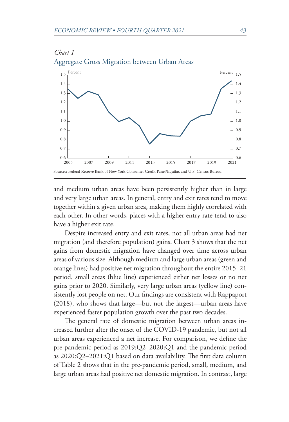

## *Chart 1* Aggregate Gross Migration between Urban Areas

and medium urban areas have been persistently higher than in large and very large urban areas. In general, entry and exit rates tend to move together within a given urban area, making them highly correlated with each other. In other words, places with a higher entry rate tend to also have a higher exit rate.

Despite increased entry and exit rates, not all urban areas had net migration (and therefore population) gains. Chart 3 shows that the net gains from domestic migration have changed over time across urban areas of various size. Although medium and large urban areas (green and orange lines) had positive net migration throughout the entire 2015–21 period, small areas (blue line) experienced either net losses or no net gains prior to 2020. Similarly, very large urban areas (yellow line) consistently lost people on net. Our findings are consistent with Rappaport (2018), who shows that large—but not the largest—urban areas have experienced faster population growth over the past two decades.

The general rate of domestic migration between urban areas increased further after the onset of the COVID-19 pandemic, but not all urban areas experienced a net increase. For comparison, we define the pre-pandemic period as 2019:Q2–2020:Q1 and the pandemic period as 2020:Q2–2021:Q1 based on data availability. The first data column of Table 2 shows that in the pre-pandemic period, small, medium, and large urban areas had positive net domestic migration. In contrast, large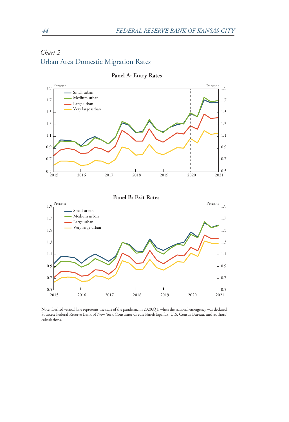# *Chart 2* Urban Area Domestic Migration Rates



**Panel A: Entry Rates**

Note: Dashed vertical line represents the start of the pandemic in 2020:Q1, when the national emergency was declared. Sources: Federal Reserve Bank of New York Consumer Credit Panel/Equifax, U.S. Census Bureau, and authors' calculations.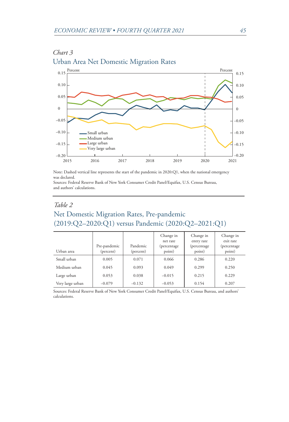

# *Chart 3* Urban Area Net Domestic Migration Rates

Note: Dashed vertical line represents the start of the pandemic in 2020:Q1, when the national emergency was declared.

Sources: Federal Reserve Bank of New York Consumer Credit Panel/Equifax, U.S. Census Bureau, and authors' calculations.

# *Table 2* Net Domestic Migration Rates, Pre-pandemic (2019:Q2–2020:Q1) versus Pandemic (2020:Q2–2021:Q1)

| Urban area       | Pre-pandemic<br>(percent) | Pandemic<br>(percent) | Change in<br>net rate<br>(percentage<br>point) | Change in<br>entry rate<br>(percentage<br>point) | Change in<br>exit rate<br>(percentage)<br>point) |
|------------------|---------------------------|-----------------------|------------------------------------------------|--------------------------------------------------|--------------------------------------------------|
| Small urban      | 0.005                     | 0.071                 | 0.066                                          | 0.286                                            | 0.220                                            |
| Medium urban     | 0.045                     | 0.093                 | 0.049                                          | 0.299                                            | 0.250                                            |
| Large urban      | 0.053                     | 0.038                 | $-0.015$                                       | 0.215                                            | 0.229                                            |
| Very large urban | $-0.079$                  | $-0.132$              | $-0.053$                                       | 0.154                                            | 0.207                                            |

Sources: Federal Reserve Bank of New York Consumer Credit Panel/Equifax, U.S. Census Bureau, and authors' calculations.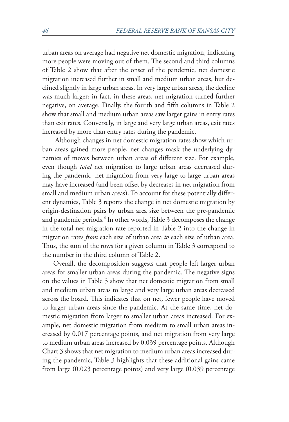urban areas on average had negative net domestic migration, indicating more people were moving out of them. The second and third columns of Table 2 show that after the onset of the pandemic, net domestic migration increased further in small and medium urban areas, but declined slightly in large urban areas. In very large urban areas, the decline was much larger; in fact, in these areas, net migration turned further negative, on average. Finally, the fourth and fifth columns in Table 2 show that small and medium urban areas saw larger gains in entry rates than exit rates. Conversely, in large and very large urban areas, exit rates increased by more than entry rates during the pandemic.

 Although changes in net domestic migration rates show which urban areas gained more people, net changes mask the underlying dynamics of moves between urban areas of different size. For example, even though *total* net migration to large urban areas decreased during the pandemic, net migration from very large to large urban areas may have increased (and been offset by decreases in net migration from small and medium urban areas). To account for these potentially different dynamics, Table 3 reports the change in net domestic migration by origin-destination pairs by urban area size between the pre-pandemic and pandemic periods.4 In other words, Table 3 decomposes the change in the total net migration rate reported in Table 2 into the change in migration rates *from* each size of urban area *to* each size of urban area. Thus, the sum of the rows for a given column in Table 3 correspond to the number in the third column of Table 2.

Overall, the decomposition suggests that people left larger urban areas for smaller urban areas during the pandemic. The negative signs on the values in Table 3 show that net domestic migration from small and medium urban areas to large and very large urban areas decreased across the board. This indicates that on net, fewer people have moved to larger urban areas since the pandemic. At the same time, net domestic migration from larger to smaller urban areas increased. For example, net domestic migration from medium to small urban areas increased by 0.017 percentage points, and net migration from very large to medium urban areas increased by 0.039 percentage points. Although Chart 3 shows that net migration to medium urban areas increased during the pandemic, Table 3 highlights that these additional gains came from large (0.023 percentage points) and very large (0.039 percentage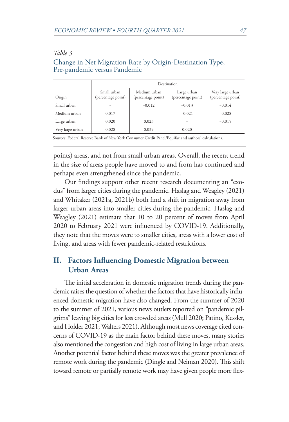#### *Table 3*

#### Destination Origin Small urban (percentage point) Medium urban (percentage point) Large urban (percentage point) Very large urban (percentage point) Small urban − −0.012 −0.013 −0.014 Medium urban  $\begin{vmatrix} 0.017 & | & -10.021 & | & -0.028 \end{vmatrix}$  −0.021 −0.028 Large urban 0.020 0.023 − −0.015 Very large urban  $\vert$  0.028  $\vert$  0.039  $\vert$  0.020

# Change in Net Migration Rate by Origin-Destination Type, Pre-pandemic versus Pandemic

Sources: Federal Reserve Bank of New York Consumer Credit Panel/Equifax and authors' calculations.

points) areas, and not from small urban areas. Overall, the recent trend in the size of areas people have moved to and from has continued and perhaps even strengthened since the pandemic.

Our findings support other recent research documenting an "exodus" from larger cities during the pandemic. Haslag and Weagley (2021) and Whitaker (2021a, 2021b) both find a shift in migration away from larger urban areas into smaller cities during the pandemic. Haslag and Weagley (2021) estimate that 10 to 20 percent of moves from April 2020 to February 2021 were influenced by COVID-19. Additionally, they note that the moves were to smaller cities, areas with a lower cost of living, and areas with fewer pandemic-related restrictions.

# **II. Factors Influencing Domestic Migration between Urban Areas**

The initial acceleration in domestic migration trends during the pandemic raises the question of whether the factors that have historically influenced domestic migration have also changed. From the summer of 2020 to the summer of 2021, various news outlets reported on "pandemic pilgrims" leaving big cities for less crowded areas (Mull 2020; Patino, Kessler, and Holder 2021; Walters 2021). Although most news coverage cited concerns of COVID-19 as the main factor behind these moves, many stories also mentioned the congestion and high cost of living in large urban areas. Another potential factor behind these moves was the greater prevalence of remote work during the pandemic (Dingle and Neiman 2020). This shift toward remote or partially remote work may have given people more flex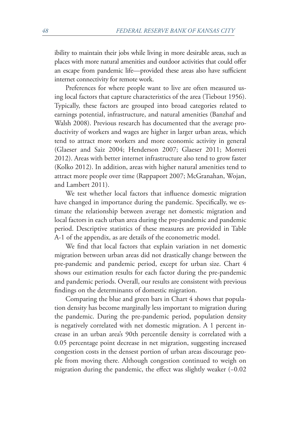ibility to maintain their jobs while living in more desirable areas, such as places with more natural amenities and outdoor activities that could offer an escape from pandemic life—provided these areas also have sufficient internet connectivity for remote work.

Preferences for where people want to live are often measured using local factors that capture characteristics of the area (Tiebout 1956). Typically, these factors are grouped into broad categories related to earnings potential, infrastructure, and natural amenities (Banzhaf and Walsh 2008). Previous research has documented that the average productivity of workers and wages are higher in larger urban areas, which tend to attract more workers and more economic activity in general (Glaeser and Saiz 2004; Henderson 2007; Glaeser 2011; Morreti 2012). Areas with better internet infrastructure also tend to grow faster (Kolko 2012). In addition, areas with higher natural amenities tend to attract more people over time (Rappaport 2007; McGranahan, Wojan, and Lambert 2011).

We test whether local factors that influence domestic migration have changed in importance during the pandemic. Specifically, we estimate the relationship between average net domestic migration and local factors in each urban area during the pre-pandemic and pandemic period. Descriptive statistics of these measures are provided in Table A-1 of the appendix, as are details of the econometric model.

We find that local factors that explain variation in net domestic migration between urban areas did not drastically change between the pre-pandemic and pandemic period, except for urban size. Chart 4 shows our estimation results for each factor during the pre-pandemic and pandemic periods. Overall, our results are consistent with previous findings on the determinants of domestic migration.

Comparing the blue and green bars in Chart 4 shows that population density has become marginally less important to migration during the pandemic. During the pre-pandemic period, population density is negatively correlated with net domestic migration. A 1 percent increase in an urban area's 90th percentile density is correlated with a 0.05 percentage point decrease in net migration, suggesting increased congestion costs in the densest portion of urban areas discourage people from moving there. Although congestion continued to weigh on migration during the pandemic, the effect was slightly weaker (−0.02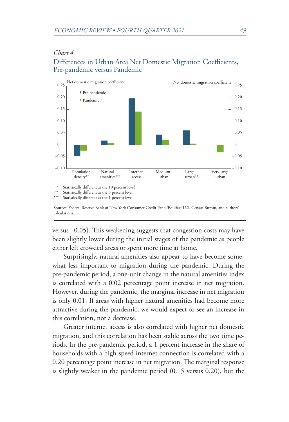#### *Chart 4*

#### Differences in Urban Area Net Domestic Migration Coefficients, Pre-pandemic versus Pandemic



Sources: Federal Reserve Bank of New York Consumer Credit Panel/Equifax, U.S. Census Bureau, and authors' calculations.

versus −0.05). This weakening suggests that congestion costs may have been slightly lower during the initial stages of the pandemic as people either left crowded areas or spent more time at home.

Surprisingly, natural amenities also appear to have become somewhat less important to migration during the pandemic. During the pre-pandemic period, a one-unit change in the natural amenities index is correlated with a 0.02 percentage point increase in net migration. However, during the pandemic, the marginal increase in net migration is only 0.01. If areas with higher natural amenities had become more attractive during the pandemic, we would expect to see an increase in this correlation, not a decrease.

Greater internet access is also correlated with higher net domestic migration, and this correlation has been stable across the two time periods. In the pre-pandemic period, a 1 percent increase in the share of households with a high-speed internet connection is correlated with a 0.20 percentage point increase in net migration. The marginal response is slightly weaker in the pandemic period (0.15 versus 0.20), but the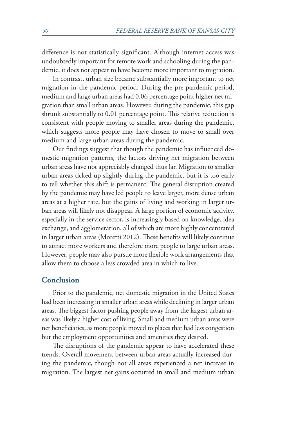difference is not statistically significant. Although internet access was undoubtedly important for remote work and schooling during the pandemic, it does not appear to have become more important to migration.

In contrast, urban size became substantially more important to net migration in the pandemic period. During the pre-pandemic period, medium and large urban areas had 0.06 percentage point higher net migration than small urban areas. However, during the pandemic, this gap shrunk substantially to 0.01 percentage point. This relative reduction is consistent with people moving to smaller areas during the pandemic, which suggests more people may have chosen to move to small over medium and large urban areas during the pandemic.

Our findings suggest that though the pandemic has influenced domestic migration patterns, the factors driving net migration between urban areas have not appreciably changed thus far. Migration to smaller urban areas ticked up slightly during the pandemic, but it is too early to tell whether this shift is permanent. The general disruption created by the pandemic may have led people to leave larger, more dense urban areas at a higher rate, but the gains of living and working in larger urban areas will likely not disappear. A large portion of economic activity, especially in the service sector, is increasingly based on knowledge, idea exchange, and agglomeration, all of which are more highly concentrated in larger urban areas (Moretti 2012). These benefits will likely continue to attract more workers and therefore more people to large urban areas. However, people may also pursue more flexible work arrangements that allow them to choose a less crowded area in which to live.

#### **Conclusion**

Prior to the pandemic, net domestic migration in the United States had been increasing in smaller urban areas while declining in larger urban areas. The biggest factor pushing people away from the largest urban areas was likely a higher cost of living. Small and medium urban areas were net beneficiaries, as more people moved to places that had less congestion but the employment opportunities and amenities they desired.

The disruptions of the pandemic appear to have accelerated these trends. Overall movement between urban areas actually increased during the pandemic, though not all areas experienced a net increase in migration. The largest net gains occurred in small and medium urban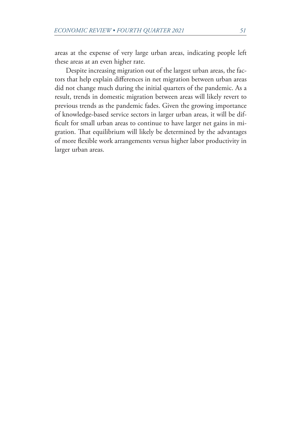areas at the expense of very large urban areas, indicating people left these areas at an even higher rate.

Despite increasing migration out of the largest urban areas, the factors that help explain differences in net migration between urban areas did not change much during the initial quarters of the pandemic. As a result, trends in domestic migration between areas will likely revert to previous trends as the pandemic fades. Given the growing importance of knowledge-based service sectors in larger urban areas, it will be difficult for small urban areas to continue to have larger net gains in migration. That equilibrium will likely be determined by the advantages of more flexible work arrangements versus higher labor productivity in larger urban areas.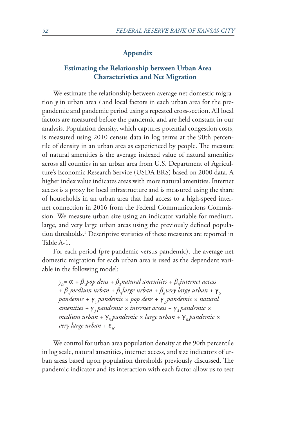#### **Appendix**

#### **Estimating the Relationship between Urban Area Characteristics and Net Migration**

We estimate the relationship between average net domestic migration *y* in urban area *i* and local factors in each urban area for the prepandemic and pandemic period using a repeated cross-section. All local factors are measured before the pandemic and are held constant in our analysis. Population density, which captures potential congestion costs, is measured using 2010 census data in log terms at the 90th percentile of density in an urban area as experienced by people. The measure of natural amenities is the average indexed value of natural amenities across all counties in an urban area from U.S. Department of Agriculture's Economic Research Service (USDA ERS) based on 2000 data. A higher index value indicates areas with more natural amenities. Internet access is a proxy for local infrastructure and is measured using the share of households in an urban area that had access to a high-speed internet connection in 2016 from the Federal Communications Commission. We measure urban size using an indicator variable for medium, large, and very large urban areas using the previously defined population thresholds.<sup>5</sup> Descriptive statistics of these measures are reported in Table A-1.

For each period (pre-pandemic versus pandemic), the average net domestic migration for each urban area is used as the dependent variable in the following model:

 $y_{it} = \alpha + \beta_1$  pop dens +  $\beta_2$ natural amenities +  $\beta_3$ internet access + β<sub>4</sub> medium urban + β<sub>5</sub> large urban + β<sub>6</sub> very large urban +  $\gamma_0$ *pandemic + γ*<sub>1</sub> *pandemic × pop dens + γ<sub>2</sub> pandemic × natural amenities* + γ<sub>3</sub> *pandemic × internet access + γ<sub>4</sub> pandemic ×* medium urban + γ<sub>5</sub> pandemic × large urban + γ<sub>6</sub> pandemic × *very large urban* + ε<sub>*it</sub>*.</sub>

We control for urban area population density at the 90th percentile in log scale, natural amenities, internet access, and size indicators of urban areas based upon population thresholds previously discussed. The pandemic indicator and its interaction with each factor allow us to test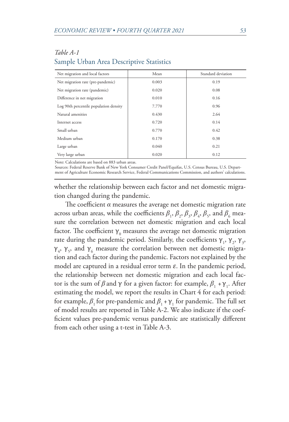| Net migration and local factors        | Mean  | Standard deviation |
|----------------------------------------|-------|--------------------|
| Net migration rate (pre-pandemic)      | 0.003 | 0.19               |
| Net migration rate (pandemic)          | 0.020 | 0.08               |
| Difference in net migration            | 0.010 | 0.16               |
| Log 90th percentile population density | 7.770 | 0.96               |
| Natural amenities                      | 0.430 | 2.64               |
| Internet access                        | 0.720 | 0.14               |
| Small urban                            | 0.770 | 0.42               |
| Medium urban                           | 0.170 | 0.38               |
| Large urban                            | 0.040 | 0.21               |
| Very large urban                       | 0.020 | 0.12               |

### *Table A-1* Sample Urban Area Descriptive Statistics

Note: Calculations are based on 883 urban areas.

Sources: Federal Reserve Bank of New York Consumer Credit Panel/Equifax, U.S. Census Bureau, U.S. Department of Agriculture Economic Research Service, Federal Communications Commission, and authors' calculations.

whether the relationship between each factor and net domestic migration changed during the pandemic.

The coefficient  $\alpha$  measures the average net domestic migration rate across urban areas, while the coefficients  $\beta_1$ ,  $\beta_2$ ,  $\beta_3$ ,  $\beta_4$ ,  $\beta_5$ , and  $\beta_6$  measure the correlation between net domestic migration and each local factor. The coefficient  $\gamma_{_0}$  measures the average net domestic migration rate during the pandemic period. Similarly, the coefficients  $\gamma_1$ ,  $\gamma_2$ ,  $\gamma_3$ ,  $γ<sub>4</sub>, γ<sub>5</sub>,$  and  $γ<sub>6</sub>$  measure the correlation between net domestic migration and each factor during the pandemic. Factors not explained by the model are captured in a residual error term  $\varepsilon$ . In the pandemic period, the relationship between net domestic migration and each local factor is the sum of *β* and  $\gamma$  for a given factor: for example,  $\beta_1 + \gamma_1$ . After estimating the model, we report the results in Chart 4 for each period: for example,  $\beta_1$  for pre-pandemic and  $\beta_1 + \gamma_1$  for pandemic. The full set of model results are reported in Table A-2. We also indicate if the coefficient values pre-pandemic versus pandemic are statistically different from each other using a t-test in Table A-3.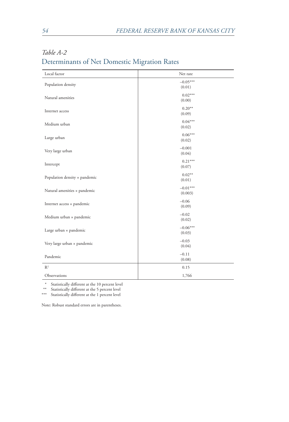| Local factor                  | Net rate              |
|-------------------------------|-----------------------|
| Population density            | $-0.05***$<br>(0.01)  |
| Natural amenities             | $0.02***$<br>(0.00)   |
| Internet access               | $0.20**$<br>(0.09)    |
| Medium urban                  | $0.04***$<br>(0.02)   |
| Large urban                   | $0.06***$<br>(0.02)   |
| Very large urban              | $-0.001$<br>(0.04)    |
| Intercept                     | $0.21***$<br>(0.07)   |
| Population density x pandemic | $0.02**$<br>(0.01)    |
| Natural amenities x pandemic  | $-0.01***$<br>(0.003) |
| Internet access × pandemic    | $-0.06$<br>(0.09)     |
| Medium urban × pandemic       | $-0.02$<br>(0.02)     |
| Large urban × pandemic        | $-0.06***$<br>(0.03)  |
| Very large urban × pandemic   | $-0.03$<br>(0.04)     |
| Pandemic                      | $-0.11$<br>(0.08)     |
| R <sup>2</sup>                | 0.15                  |
| Observations                  | 1,766                 |

# *Table A-2* Determinants of Net Domestic Migration Rates

\* Statistically different at the 10 percent level

\*\* Statistically different at the 5 percent level

\*\*\* Statistically different at the 1 percent level

Note: Robust standard errors are in parentheses.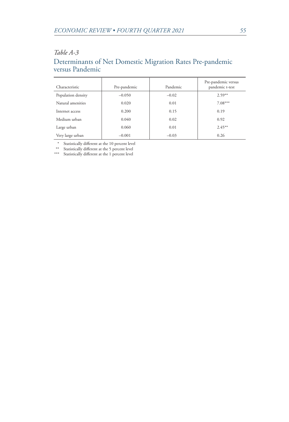#### *Table A-3*

# Determinants of Net Domestic Migration Rates Pre-pandemic versus Pandemic

| Characteristic     | Pre-pandemic | Pandemic | Pre-pandemic versus<br>pandemic t-test |
|--------------------|--------------|----------|----------------------------------------|
| Population density | $-0.050$     | $-0.02$  | $2.59**$                               |
| Natural amenities  | 0.020        | 0.01     | $7.08***$                              |
| Internet access    | 0.200        | 0.15     | 0.19                                   |
| Medium urban       | 0.040        | 0.02     | 0.92                                   |
| Large urban        | 0.060        | 0.01     | $2.45***$                              |
| Very large urban   | $-0.001$     | $-0.03$  | 0.26                                   |

\* Statistically different at the 10 percent level

\*\* Statistically different at the 5 percent level

\*\*\* Statistically different at the 1 percent level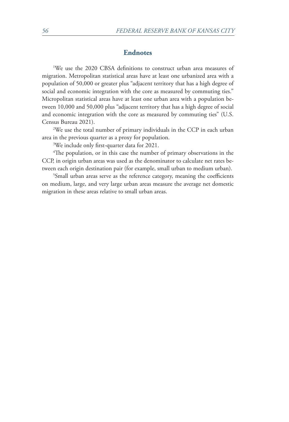#### **Endnotes**

1 We use the 2020 CBSA definitions to construct urban area measures of migration. Metropolitan statistical areas have at least one urbanized area with a population of 50,000 or greater plus "adjacent territory that has a high degree of social and economic integration with the core as measured by commuting ties." Micropolitan statistical areas have at least one urban area with a population between 10,000 and 50,000 plus "adjacent territory that has a high degree of social and economic integration with the core as measured by commuting ties" (U.S. Census Bureau 2021).

We use the total number of primary individuals in the CCP in each urban area in the previous quarter as a proxy for population.

3 We include only first-quarter data for 2021.

4 The population, or in this case the number of primary observations in the CCP, in origin urban areas was used as the denominator to calculate net rates between each origin destination pair (for example, small urban to medium urban).

<sup>5</sup>Small urban areas serve as the reference category, meaning the coefficients on medium, large, and very large urban areas measure the average net domestic migration in these areas relative to small urban areas.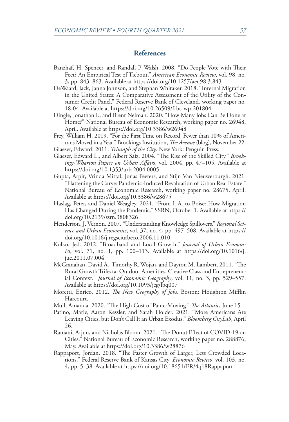#### **References**

- Banzhaf, H. Spencer, and Randall P. Walsh. 2008. "Do People Vote with Their Feet? An Empirical Test of Tiebout." *American Economic Review*, vol. 98, no. 3, pp. 843–863. Available at https://doi.org/10.1257/aer.98.3.843
- DeWaard, Jack, Janna Johnson, and Stephan Whitaker. 2018. "Internal Migration in the United States: A Comparative Assessment of the Utility of the Consumer Credit Panel." Federal Reserve Bank of Cleveland, working paper no. 18-04. Available at https://doi.org/10.26509/frbc-wp-201804
- Dingle, Jonathan I., and Brent Neiman. 2020. "How Many Jobs Can Be Done at Home?" National Bureau of Economic Research, working paper no. 26948, April. Available at https://doi.org/10.3386/w26948
- Frey, William H. 2019. "For the First Time on Record, Fewer than 10% of Americans Moved in a Year." Brookings Institution, *The Avenue* (blog), November 22.
- Glaeser, Edward. 2011. *Triumph of the City*. New York: Penguin Press. Glaeser, Edward L., and Albert Saiz. 2004. "The Rise of the Skilled City." *Brook-*
- *ings-Wharton Papers on Urban Affairs*, vol. 2004, pp. 47–105. Available at https://doi.org/10.1353/urb.2004.0005
- Gupta, Arpit, Vrinda Mittal, Jonas Peeters, and Stijn Van Nieuwerburgh. 2021. "Flattening the Curve: Pandemic-Induced Revaluation of Urban Real Estate." National Bureau of Economic Research, working paper no. 28675, April. Available at https://doi.org/10.3386/w28675
- Haslag, Peter, and Daniel Weagley. 2021. "From L.A. to Boise: How Migration Has Changed During the Pandemic." SSRN, October 1. Available at https:// doi.org/10.2139/ssrn.3808326
- Henderson, J. Vernon. 2007. "Understanding Knowledge Spillovers." *Regional Science and Urban Economics*, vol. 37, no. 4, pp. 497–508. Available at https:// doi.org/10.1016/j.regsciurbeco.2006.11.010
- Kolko, Jed. 2012. "Broadband and Local Growth." *Journal of Urban Economics*, vol. 71, no. 1, pp. 100–113. Available at https://doi.org/10.1016/j. jue.2011.07.004
- McGranahan, David A., Timothy R. Wojan, and Dayton M. Lambert. 2011. "The Rural Growth Trifecta: Outdoor Amenities, Creative Class and Entrepreneurial Context." *Journal of Economic Geography*, vol. 11, no. 3, pp. 529–557. Available at https://doi.org/10.1093/jeg/lbq007
- Moretti, Enrico. 2012. *The New Geography of Jobs*. Boston: Houghton Mifflin Harcourt.
- Mull, Amanda. 2020. "The High Cost of Panic-Moving." *The Atlantic*, June 15.
- Patino, Marie, Aaron Kessler, and Sarah Holder. 2021. "More Americans Are Leaving Cities, but Don't Call It an Urban Exodus." *Bloomberg CityLab*, April 26.
- Ramani, Arjun, and Nicholas Bloom. 2021. "The Donut Effect of COVID-19 on Cities." National Bureau of Economic Research, working paper no. 288876, May. Available at https://doi.org/10.3386/w28876
- Rappaport, Jordan. 2018. "The Faster Growth of Larger, Less Crowded Locations." Federal Reserve Bank of Kansas City, *Economic Review*, vol. 103, no. 4, pp. 5–38. Available at https://doi.org/10.18651/ER/4q18Rappaport